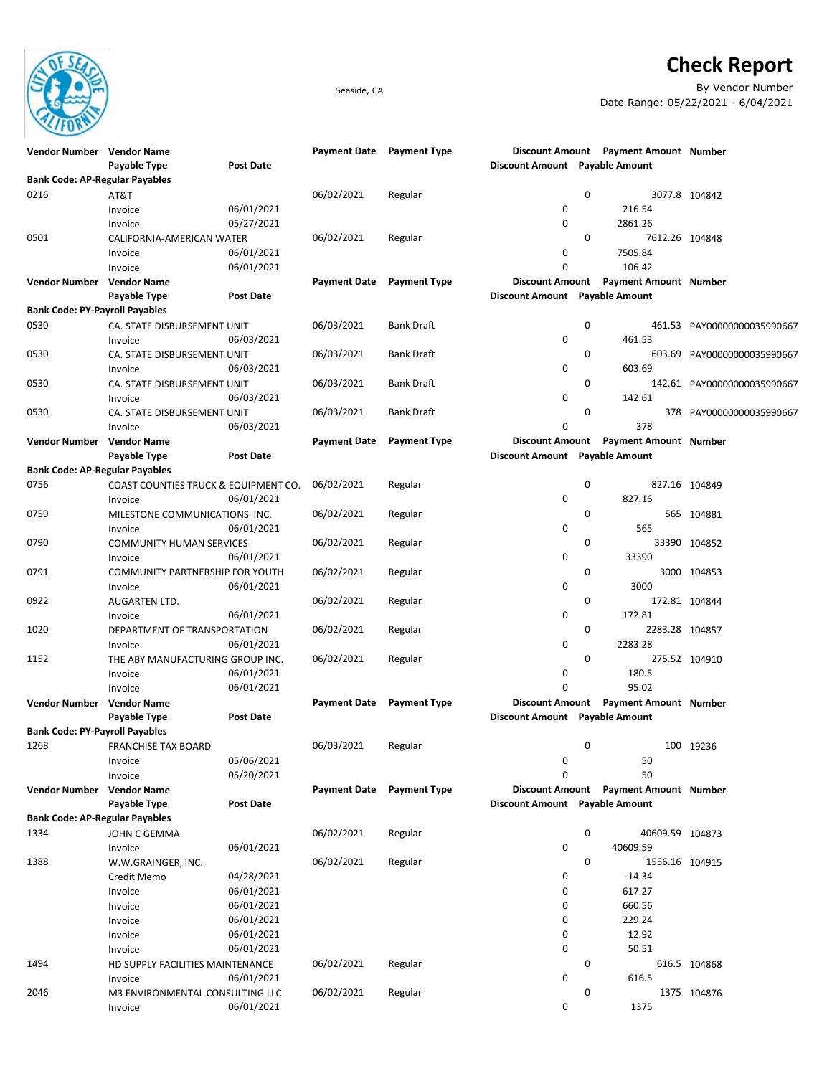

## **Check Report**

Seaside, CA By Vendor Number Date Range: 05/22/2021 - 6/04/2021

| Vendor Number Vendor Name             |                                      |                  | <b>Payment Date</b> | <b>Payment Type</b> |                                |             | Discount Amount Payment Amount Number |                             |
|---------------------------------------|--------------------------------------|------------------|---------------------|---------------------|--------------------------------|-------------|---------------------------------------|-----------------------------|
|                                       | Payable Type                         | <b>Post Date</b> |                     |                     | Discount Amount Payable Amount |             |                                       |                             |
| <b>Bank Code: AP-Regular Payables</b> |                                      |                  |                     |                     |                                |             |                                       |                             |
| 0216                                  | AT&T                                 |                  | 06/02/2021          | Regular             |                                | 0           |                                       | 3077.8 104842               |
|                                       | Invoice                              | 06/01/2021       |                     |                     | 0                              |             | 216.54                                |                             |
|                                       | Invoice                              | 05/27/2021       |                     |                     | 0                              |             | 2861.26                               |                             |
| 0501                                  | CALIFORNIA-AMERICAN WATER            |                  | 06/02/2021          | Regular             |                                | $\mathbf 0$ | 7612.26 104848                        |                             |
|                                       | Invoice                              | 06/01/2021       |                     |                     | 0                              |             | 7505.84                               |                             |
|                                       | Invoice                              | 06/01/2021       |                     |                     | 0                              |             | 106.42                                |                             |
| Vendor Number Vendor Name             |                                      |                  | <b>Payment Date</b> | <b>Payment Type</b> | Discount Amount                |             | <b>Payment Amount Number</b>          |                             |
|                                       | Payable Type                         | <b>Post Date</b> |                     |                     | Discount Amount Payable Amount |             |                                       |                             |
| <b>Bank Code: PY-Payroll Payables</b> |                                      |                  |                     |                     |                                |             |                                       |                             |
| 0530                                  | CA. STATE DISBURSEMENT UNIT          |                  | 06/03/2021          | <b>Bank Draft</b>   |                                | 0           |                                       | 461.53 PAY00000000035990667 |
|                                       |                                      | 06/03/2021       |                     |                     | 0                              |             | 461.53                                |                             |
|                                       | Invoice                              |                  |                     |                     |                                |             |                                       |                             |
| 0530                                  | CA. STATE DISBURSEMENT UNIT          |                  | 06/03/2021          | Bank Draft          |                                | 0           |                                       | 603.69 PAY00000000035990667 |
|                                       | Invoice                              | 06/03/2021       |                     |                     | 0                              |             | 603.69                                |                             |
| 0530                                  | CA. STATE DISBURSEMENT UNIT          |                  | 06/03/2021          | <b>Bank Draft</b>   |                                | 0           |                                       | 142.61 PAY00000000035990667 |
|                                       | Invoice                              | 06/03/2021       |                     |                     | 0                              |             | 142.61                                |                             |
| 0530                                  | CA. STATE DISBURSEMENT UNIT          |                  | 06/03/2021          | Bank Draft          |                                | 0           | 378                                   | PAY00000000035990667        |
|                                       | Invoice                              | 06/03/2021       |                     |                     | 0                              |             | 378                                   |                             |
| <b>Vendor Number Vendor Name</b>      |                                      |                  | <b>Payment Date</b> | <b>Payment Type</b> | Discount Amount                |             | <b>Payment Amount Number</b>          |                             |
|                                       | Payable Type                         | <b>Post Date</b> |                     |                     | Discount Amount Payable Amount |             |                                       |                             |
| <b>Bank Code: AP-Regular Payables</b> |                                      |                  |                     |                     |                                |             |                                       |                             |
| 0756                                  | COAST COUNTIES TRUCK & EQUIPMENT CO. |                  | 06/02/2021          | Regular             |                                | 0           |                                       | 827.16 104849               |
|                                       | Invoice                              | 06/01/2021       |                     |                     | 0                              |             | 827.16                                |                             |
| 0759                                  | MILESTONE COMMUNICATIONS INC.        |                  | 06/02/2021          | Regular             |                                | 0           |                                       | 565 104881                  |
|                                       | Invoice                              | 06/01/2021       |                     |                     | 0                              |             | 565                                   |                             |
| 0790                                  | <b>COMMUNITY HUMAN SERVICES</b>      |                  | 06/02/2021          | Regular             |                                | $\mathbf 0$ |                                       | 33390 104852                |
|                                       | Invoice                              | 06/01/2021       |                     |                     | 0                              |             | 33390                                 |                             |
| 0791                                  | COMMUNITY PARTNERSHIP FOR YOUTH      |                  | 06/02/2021          | Regular             |                                | $\mathbf 0$ |                                       | 3000 104853                 |
|                                       | Invoice                              | 06/01/2021       |                     |                     | 0                              |             | 3000                                  |                             |
| 0922                                  | AUGARTEN LTD.                        |                  | 06/02/2021          | Regular             |                                | 0           |                                       | 172.81 104844               |
|                                       | Invoice                              | 06/01/2021       |                     |                     | 0                              |             | 172.81                                |                             |
| 1020                                  | DEPARTMENT OF TRANSPORTATION         |                  | 06/02/2021          | Regular             |                                | 0           | 2283.28 104857                        |                             |
|                                       | Invoice                              | 06/01/2021       |                     |                     | 0                              |             | 2283.28                               |                             |
| 1152                                  | THE ABY MANUFACTURING GROUP INC.     |                  | 06/02/2021          | Regular             |                                | $\mathbf 0$ |                                       | 275.52 104910               |
|                                       |                                      | 06/01/2021       |                     |                     | 0                              |             | 180.5                                 |                             |
|                                       | Invoice                              |                  |                     |                     | 0                              |             | 95.02                                 |                             |
|                                       | Invoice                              | 06/01/2021       |                     |                     |                                |             |                                       |                             |
| <b>Vendor Number Vendor Name</b>      |                                      |                  | <b>Payment Date</b> | <b>Payment Type</b> | <b>Discount Amount</b>         |             | <b>Payment Amount Number</b>          |                             |
|                                       | Payable Type                         | <b>Post Date</b> |                     |                     | Discount Amount Payable Amount |             |                                       |                             |
| <b>Bank Code: PY-Payroll Payables</b> |                                      |                  |                     |                     |                                |             |                                       |                             |
| 1268                                  | <b>FRANCHISE TAX BOARD</b>           |                  | 06/03/2021          | Regular             |                                | 0           |                                       | 100 19236                   |
|                                       | Invoice                              | 05/06/2021       |                     |                     | 0                              |             | 50                                    |                             |
|                                       | Invoice                              | 05/20/2021       |                     |                     | 0                              |             | 50                                    |                             |
| Vendor Number Vendor Name             |                                      |                  | <b>Payment Date</b> | <b>Payment Type</b> |                                |             | Discount Amount Payment Amount Number |                             |
|                                       | Payable Type                         | <b>Post Date</b> |                     |                     | Discount Amount Payable Amount |             |                                       |                             |
| <b>Bank Code: AP-Regular Payables</b> |                                      |                  |                     |                     |                                |             |                                       |                             |
| 1334                                  | JOHN C GEMMA                         |                  | 06/02/2021          | Regular             |                                | 0           | 40609.59 104873                       |                             |
|                                       | Invoice                              | 06/01/2021       |                     |                     | 0                              |             | 40609.59                              |                             |
| 1388                                  | W.W.GRAINGER, INC.                   |                  | 06/02/2021          | Regular             |                                | 0           | 1556.16 104915                        |                             |
|                                       | Credit Memo                          | 04/28/2021       |                     |                     | 0                              |             | $-14.34$                              |                             |
|                                       | Invoice                              | 06/01/2021       |                     |                     | 0                              |             | 617.27                                |                             |
|                                       | Invoice                              | 06/01/2021       |                     |                     | 0                              |             | 660.56                                |                             |
|                                       | Invoice                              | 06/01/2021       |                     |                     | 0                              |             | 229.24                                |                             |
|                                       | Invoice                              | 06/01/2021       |                     |                     | 0                              |             | 12.92                                 |                             |
|                                       | Invoice                              | 06/01/2021       |                     |                     | 0                              |             | 50.51                                 |                             |
| 1494                                  | HD SUPPLY FACILITIES MAINTENANCE     |                  | 06/02/2021          | Regular             |                                | 0           |                                       | 616.5 104868                |
|                                       | Invoice                              | 06/01/2021       |                     |                     | 0                              |             | 616.5                                 |                             |
| 2046                                  | M3 ENVIRONMENTAL CONSULTING LLC      |                  | 06/02/2021          | Regular             |                                | 0           |                                       | 1375 104876                 |
|                                       | Invoice                              | 06/01/2021       |                     |                     | 0                              |             | 1375                                  |                             |
|                                       |                                      |                  |                     |                     |                                |             |                                       |                             |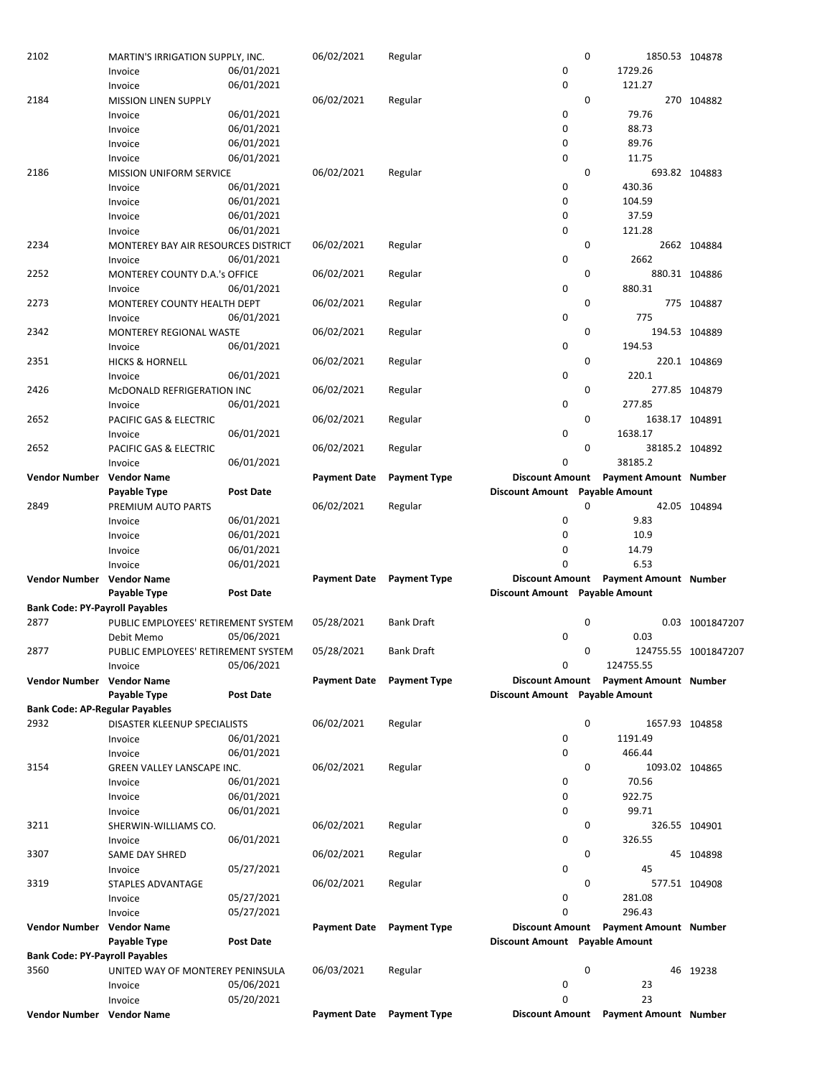| 2102                                  | MARTIN'S IRRIGATION SUPPLY, INC.    |                  | 06/02/2021          | Regular                   |                                | 0           | 1850.53 104878                              |                      |
|---------------------------------------|-------------------------------------|------------------|---------------------|---------------------------|--------------------------------|-------------|---------------------------------------------|----------------------|
|                                       | Invoice                             | 06/01/2021       |                     |                           | 0                              |             | 1729.26                                     |                      |
|                                       | Invoice                             | 06/01/2021       |                     |                           | 0                              |             | 121.27                                      |                      |
| 2184                                  |                                     |                  | 06/02/2021          |                           |                                | 0           |                                             | 270 104882           |
|                                       | <b>MISSION LINEN SUPPLY</b>         |                  |                     | Regular                   |                                |             |                                             |                      |
|                                       | Invoice                             | 06/01/2021       |                     |                           | 0                              |             | 79.76                                       |                      |
|                                       | Invoice                             | 06/01/2021       |                     |                           | 0                              |             | 88.73                                       |                      |
|                                       | Invoice                             | 06/01/2021       |                     |                           | 0                              |             | 89.76                                       |                      |
|                                       | Invoice                             | 06/01/2021       |                     |                           | 0                              |             | 11.75                                       |                      |
| 2186                                  | <b>MISSION UNIFORM SERVICE</b>      |                  | 06/02/2021          | Regular                   |                                | 0           |                                             | 693.82 104883        |
|                                       |                                     | 06/01/2021       |                     |                           | 0                              |             | 430.36                                      |                      |
|                                       | Invoice                             |                  |                     |                           |                                |             |                                             |                      |
|                                       | Invoice                             | 06/01/2021       |                     |                           | $\mathbf 0$                    |             | 104.59                                      |                      |
|                                       | Invoice                             | 06/01/2021       |                     |                           | 0                              |             | 37.59                                       |                      |
|                                       | Invoice                             | 06/01/2021       |                     |                           | $\mathbf 0$                    |             | 121.28                                      |                      |
| 2234                                  | MONTEREY BAY AIR RESOURCES DISTRICT |                  | 06/02/2021          | Regular                   |                                | 0           |                                             | 2662 104884          |
|                                       | Invoice                             | 06/01/2021       |                     |                           | 0                              |             | 2662                                        |                      |
| 2252                                  | MONTEREY COUNTY D.A.'s OFFICE       |                  | 06/02/2021          | Regular                   |                                | 0           |                                             | 880.31 104886        |
|                                       |                                     |                  |                     |                           |                                |             |                                             |                      |
|                                       | Invoice                             | 06/01/2021       |                     |                           | 0                              |             | 880.31                                      |                      |
| 2273                                  | MONTEREY COUNTY HEALTH DEPT         |                  | 06/02/2021          | Regular                   |                                | 0           |                                             | 775 104887           |
|                                       | Invoice                             | 06/01/2021       |                     |                           | 0                              |             | 775                                         |                      |
| 2342                                  | <b>MONTEREY REGIONAL WASTE</b>      |                  | 06/02/2021          | Regular                   |                                | 0           |                                             | 194.53 104889        |
|                                       | Invoice                             | 06/01/2021       |                     |                           | 0                              |             | 194.53                                      |                      |
| 2351                                  |                                     |                  | 06/02/2021          | Regular                   |                                | 0           |                                             | 220.1 104869         |
|                                       | <b>HICKS &amp; HORNELL</b>          |                  |                     |                           |                                |             |                                             |                      |
|                                       | Invoice                             | 06/01/2021       |                     |                           | 0                              |             | 220.1                                       |                      |
| 2426                                  | MCDONALD REFRIGERATION INC          |                  | 06/02/2021          | Regular                   |                                | 0           |                                             | 277.85 104879        |
|                                       | Invoice                             | 06/01/2021       |                     |                           | 0                              |             | 277.85                                      |                      |
| 2652                                  | PACIFIC GAS & ELECTRIC              |                  | 06/02/2021          | Regular                   |                                | 0           | 1638.17 104891                              |                      |
|                                       | Invoice                             | 06/01/2021       |                     |                           | 0                              |             | 1638.17                                     |                      |
| 2652                                  |                                     |                  |                     |                           |                                | $\mathbf 0$ |                                             |                      |
|                                       | PACIFIC GAS & ELECTRIC              |                  | 06/02/2021          | Regular                   |                                |             | 38185.2 104892                              |                      |
|                                       | Invoice                             | 06/01/2021       |                     |                           | $\mathbf 0$                    |             | 38185.2                                     |                      |
| Vendor Number                         | <b>Vendor Name</b>                  |                  | <b>Payment Date</b> | <b>Payment Type</b>       |                                |             | Discount Amount Payment Amount Number       |                      |
|                                       | Payable Type                        | <b>Post Date</b> |                     |                           | Discount Amount Payable Amount |             |                                             |                      |
| 2849                                  | PREMIUM AUTO PARTS                  |                  | 06/02/2021          | Regular                   |                                | 0           |                                             | 42.05 104894         |
|                                       | Invoice                             | 06/01/2021       |                     |                           | 0                              |             | 9.83                                        |                      |
|                                       |                                     |                  |                     |                           |                                |             |                                             |                      |
|                                       | Invoice                             | 06/01/2021       |                     |                           | $\mathbf 0$                    |             | 10.9                                        |                      |
|                                       | Invoice                             | 06/01/2021       |                     |                           | 0                              |             | 14.79                                       |                      |
|                                       | Invoice                             | 06/01/2021       |                     |                           | $\Omega$                       |             | 6.53                                        |                      |
| Vendor Number Vendor Name             |                                     |                  | <b>Payment Date</b> | <b>Payment Type</b>       |                                |             | Discount Amount Payment Amount Number       |                      |
|                                       | Payable Type                        | <b>Post Date</b> |                     |                           | Discount Amount Payable Amount |             |                                             |                      |
|                                       |                                     |                  |                     |                           |                                |             |                                             |                      |
|                                       |                                     |                  |                     |                           |                                |             |                                             |                      |
| <b>Bank Code: PY-Payroll Payables</b> |                                     |                  |                     |                           |                                |             |                                             |                      |
| 2877                                  | PUBLIC EMPLOYEES' RETIREMENT SYSTEM |                  | 05/28/2021          | <b>Bank Draft</b>         |                                | 0           |                                             | 0.03 1001847207      |
|                                       | Debit Memo                          | 05/06/2021       |                     |                           | 0                              |             | 0.03                                        |                      |
| 2877                                  | PUBLIC EMPLOYEES' RETIREMENT SYSTEM |                  | 05/28/2021          | <b>Bank Draft</b>         |                                | 0           |                                             | 124755.55 1001847207 |
|                                       |                                     |                  |                     |                           |                                |             |                                             |                      |
|                                       | Invoice                             | 05/06/2021       |                     |                           | 0                              |             | 124755.55                                   |                      |
| <b>Vendor Number</b>                  | <b>Vendor Name</b>                  |                  |                     | Payment Date Payment Type | <b>Discount Amount</b>         |             | <b>Payment Amount Number</b>                |                      |
|                                       | <b>Payable Type</b>                 | <b>Post Date</b> |                     |                           | Discount Amount Payable Amount |             |                                             |                      |
| <b>Bank Code: AP-Regular Payables</b> |                                     |                  |                     |                           |                                |             |                                             |                      |
| 2932                                  | DISASTER KLEENUP SPECIALISTS        |                  | 06/02/2021          | Regular                   |                                | $\mathbf 0$ | 1657.93 104858                              |                      |
|                                       | Invoice                             | 06/01/2021       |                     |                           | 0                              |             | 1191.49                                     |                      |
|                                       |                                     |                  |                     |                           | $\mathbf 0$                    |             | 466.44                                      |                      |
|                                       | Invoice                             | 06/01/2021       |                     |                           |                                |             |                                             |                      |
| 3154                                  | GREEN VALLEY LANSCAPE INC.          |                  | 06/02/2021          | Regular                   |                                | 0           | 1093.02 104865                              |                      |
|                                       | Invoice                             | 06/01/2021       |                     |                           | 0                              |             | 70.56                                       |                      |
|                                       | Invoice                             | 06/01/2021       |                     |                           | 0                              |             | 922.75                                      |                      |
|                                       | Invoice                             | 06/01/2021       |                     |                           | 0                              |             | 99.71                                       |                      |
|                                       |                                     |                  |                     |                           |                                |             |                                             |                      |
| 3211                                  | SHERWIN-WILLIAMS CO.                |                  | 06/02/2021          | Regular                   |                                | 0           |                                             | 326.55 104901        |
|                                       | Invoice                             | 06/01/2021       |                     |                           | 0                              |             | 326.55                                      |                      |
| 3307                                  | SAME DAY SHRED                      |                  | 06/02/2021          | Regular                   |                                | 0           |                                             | 45 104898            |
|                                       | Invoice                             | 05/27/2021       |                     |                           | 0                              |             | 45                                          |                      |
| 3319                                  | <b>STAPLES ADVANTAGE</b>            |                  | 06/02/2021          | Regular                   |                                | 0           |                                             | 577.51 104908        |
|                                       | Invoice                             | 05/27/2021       |                     |                           | 0                              |             | 281.08                                      |                      |
|                                       |                                     |                  |                     |                           |                                |             |                                             |                      |
|                                       | Invoice                             | 05/27/2021       |                     |                           | $\mathbf 0$                    |             | 296.43                                      |                      |
| <b>Vendor Number</b>                  | <b>Vendor Name</b>                  |                  | <b>Payment Date</b> | <b>Payment Type</b>       | <b>Discount Amount</b>         |             | <b>Payment Amount Number</b>                |                      |
|                                       | Payable Type                        | <b>Post Date</b> |                     |                           | Discount Amount Payable Amount |             |                                             |                      |
| <b>Bank Code: PY-Payroll Payables</b> |                                     |                  |                     |                           |                                |             |                                             |                      |
| 3560                                  | UNITED WAY OF MONTEREY PENINSULA    |                  | 06/03/2021          | Regular                   |                                | 0           |                                             | 46 19238             |
|                                       | Invoice                             | 05/06/2021       |                     |                           | 0                              |             | 23                                          |                      |
|                                       |                                     |                  |                     |                           |                                |             |                                             |                      |
| Vendor Number Vendor Name             | Invoice                             | 05/20/2021       | <b>Payment Date</b> | <b>Payment Type</b>       | $\mathbf 0$                    |             | 23<br>Discount Amount Payment Amount Number |                      |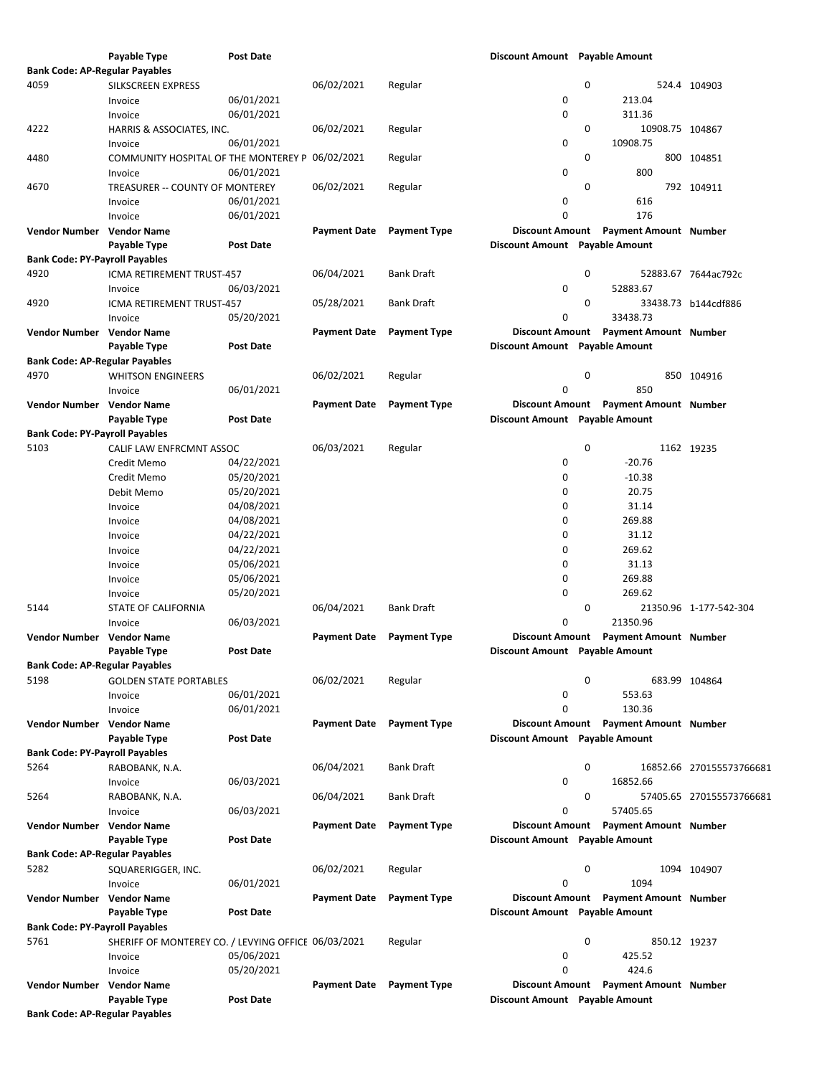|                                       | Payable Type                                        | <b>Post Date</b> |                     |                     | Discount Amount Payable Amount |   |                                       |                          |
|---------------------------------------|-----------------------------------------------------|------------------|---------------------|---------------------|--------------------------------|---|---------------------------------------|--------------------------|
| <b>Bank Code: AP-Regular Payables</b> |                                                     |                  |                     |                     |                                |   |                                       |                          |
| 4059                                  | SILKSCREEN EXPRESS                                  |                  | 06/02/2021          | Regular             |                                | 0 |                                       | 524.4 104903             |
|                                       | Invoice                                             | 06/01/2021       |                     |                     | 0                              |   | 213.04                                |                          |
|                                       | Invoice                                             | 06/01/2021       |                     |                     | 0                              |   | 311.36                                |                          |
| 4222                                  | HARRIS & ASSOCIATES, INC.                           |                  | 06/02/2021          | Regular             |                                | 0 | 10908.75 104867                       |                          |
|                                       |                                                     | 06/01/2021       |                     |                     | 0                              |   | 10908.75                              |                          |
|                                       | Invoice                                             |                  |                     |                     |                                |   |                                       |                          |
| 4480                                  | COMMUNITY HOSPITAL OF THE MONTEREY P                |                  | 06/02/2021          | Regular             |                                | 0 |                                       | 800 104851               |
|                                       | Invoice                                             | 06/01/2021       |                     |                     | 0                              |   | 800                                   |                          |
| 4670                                  | TREASURER -- COUNTY OF MONTEREY                     |                  | 06/02/2021          | Regular             |                                | 0 |                                       | 792 104911               |
|                                       | Invoice                                             | 06/01/2021       |                     |                     | 0                              |   | 616                                   |                          |
|                                       | Invoice                                             | 06/01/2021       |                     |                     | 0                              |   | 176                                   |                          |
| Vendor Number Vendor Name             |                                                     |                  | Payment Date        | <b>Payment Type</b> | <b>Discount Amount</b>         |   | <b>Payment Amount Number</b>          |                          |
|                                       | Payable Type                                        | <b>Post Date</b> |                     |                     | Discount Amount Payable Amount |   |                                       |                          |
| <b>Bank Code: PY-Payroll Payables</b> |                                                     |                  |                     |                     |                                |   |                                       |                          |
| 4920                                  | ICMA RETIREMENT TRUST-457                           |                  | 06/04/2021          | Bank Draft          |                                | 0 |                                       | 52883.67 7644ac792c      |
|                                       | Invoice                                             | 06/03/2021       |                     |                     | 0                              |   | 52883.67                              |                          |
| 4920                                  |                                                     |                  |                     | <b>Bank Draft</b>   |                                | 0 |                                       | 33438.73 b144cdf886      |
|                                       | ICMA RETIREMENT TRUST-457                           |                  | 05/28/2021          |                     |                                |   |                                       |                          |
|                                       | Invoice                                             | 05/20/2021       |                     |                     | 0                              |   | 33438.73                              |                          |
| Vendor Number Vendor Name             |                                                     |                  | <b>Payment Date</b> | <b>Payment Type</b> | <b>Discount Amount</b>         |   | <b>Payment Amount Number</b>          |                          |
|                                       | Payable Type                                        | <b>Post Date</b> |                     |                     | Discount Amount Payable Amount |   |                                       |                          |
| <b>Bank Code: AP-Regular Payables</b> |                                                     |                  |                     |                     |                                |   |                                       |                          |
| 4970                                  | <b>WHITSON ENGINEERS</b>                            |                  | 06/02/2021          | Regular             |                                | 0 |                                       | 850 104916               |
|                                       | Invoice                                             | 06/01/2021       |                     |                     | 0                              |   | 850                                   |                          |
| Vendor Number Vendor Name             |                                                     |                  | <b>Payment Date</b> | <b>Payment Type</b> | <b>Discount Amount</b>         |   | <b>Payment Amount Number</b>          |                          |
|                                       | Payable Type                                        | <b>Post Date</b> |                     |                     | Discount Amount Payable Amount |   |                                       |                          |
| <b>Bank Code: PY-Payroll Payables</b> |                                                     |                  |                     |                     |                                |   |                                       |                          |
| 5103                                  | CALIF LAW ENFRCMNT ASSOC                            |                  | 06/03/2021          | Regular             |                                | 0 |                                       | 1162 19235               |
|                                       |                                                     | 04/22/2021       |                     |                     | 0                              |   | $-20.76$                              |                          |
|                                       | Credit Memo                                         |                  |                     |                     |                                |   |                                       |                          |
|                                       | Credit Memo                                         | 05/20/2021       |                     |                     | 0                              |   | $-10.38$                              |                          |
|                                       | Debit Memo                                          | 05/20/2021       |                     |                     | 0                              |   | 20.75                                 |                          |
|                                       | Invoice                                             | 04/08/2021       |                     |                     | 0                              |   | 31.14                                 |                          |
|                                       | Invoice                                             | 04/08/2021       |                     |                     | 0                              |   | 269.88                                |                          |
|                                       | Invoice                                             | 04/22/2021       |                     |                     | 0                              |   | 31.12                                 |                          |
|                                       | Invoice                                             | 04/22/2021       |                     |                     | 0                              |   | 269.62                                |                          |
|                                       | Invoice                                             | 05/06/2021       |                     |                     | 0                              |   | 31.13                                 |                          |
|                                       | Invoice                                             | 05/06/2021       |                     |                     | 0                              |   | 269.88                                |                          |
|                                       | Invoice                                             | 05/20/2021       |                     |                     | 0                              |   | 269.62                                |                          |
| 5144                                  |                                                     |                  | 06/04/2021          | Bank Draft          |                                | 0 |                                       |                          |
|                                       | STATE OF CALIFORNIA                                 |                  |                     |                     |                                |   |                                       | 21350.96 1-177-542-304   |
|                                       | Invoice                                             | 06/03/2021       |                     |                     | 0                              |   | 21350.96                              |                          |
| <b>Vendor Number</b>                  | <b>Vendor Name</b>                                  |                  | Payment Date        | <b>Payment Type</b> | <b>Discount Amount</b>         |   | <b>Payment Amount Number</b>          |                          |
|                                       | Payable Type                                        | <b>Post Date</b> |                     |                     | Discount Amount Payable Amount |   |                                       |                          |
| <b>Bank Code: AP-Regular Payables</b> |                                                     |                  |                     |                     |                                |   |                                       |                          |
| 5198                                  | <b>GOLDEN STATE PORTABLES</b>                       |                  | 06/02/2021          | Regular             |                                | 0 | 683.99 104864                         |                          |
|                                       | Invoice                                             | 06/01/2021       |                     |                     | 0                              |   | 553.63                                |                          |
|                                       | Invoice                                             | 06/01/2021       |                     |                     | 0                              |   | 130.36                                |                          |
| Vendor Number Vendor Name             |                                                     |                  | <b>Payment Date</b> | <b>Payment Type</b> | <b>Discount Amount</b>         |   | <b>Payment Amount Number</b>          |                          |
|                                       | Payable Type                                        | Post Date        |                     |                     | Discount Amount Payable Amount |   |                                       |                          |
| <b>Bank Code: PY-Payroll Payables</b> |                                                     |                  |                     |                     |                                |   |                                       |                          |
| 5264                                  | RABOBANK, N.A.                                      |                  | 06/04/2021          | Bank Draft          |                                | 0 |                                       | 16852.66 270155573766681 |
|                                       |                                                     |                  |                     |                     | 0                              |   | 16852.66                              |                          |
|                                       | Invoice                                             | 06/03/2021       |                     |                     |                                |   |                                       |                          |
| 5264                                  | RABOBANK, N.A.                                      |                  | 06/04/2021          | <b>Bank Draft</b>   |                                | 0 |                                       | 57405.65 270155573766681 |
|                                       | Invoice                                             | 06/03/2021       |                     |                     | 0                              |   | 57405.65                              |                          |
| Vendor Number Vendor Name             |                                                     |                  | <b>Payment Date</b> | <b>Payment Type</b> | <b>Discount Amount</b>         |   | <b>Payment Amount Number</b>          |                          |
|                                       | Payable Type                                        | Post Date        |                     |                     | Discount Amount Payable Amount |   |                                       |                          |
| <b>Bank Code: AP-Regular Payables</b> |                                                     |                  |                     |                     |                                |   |                                       |                          |
| 5282                                  | SQUARERIGGER, INC.                                  |                  | 06/02/2021          | Regular             |                                | 0 |                                       | 1094 104907              |
|                                       | Invoice                                             | 06/01/2021       |                     |                     | 0                              |   | 1094                                  |                          |
| Vendor Number Vendor Name             |                                                     |                  | <b>Payment Date</b> | <b>Payment Type</b> |                                |   | Discount Amount Payment Amount Number |                          |
|                                       | Payable Type                                        | Post Date        |                     |                     | Discount Amount Payable Amount |   |                                       |                          |
|                                       |                                                     |                  |                     |                     |                                |   |                                       |                          |
| <b>Bank Code: PY-Payroll Payables</b> |                                                     |                  |                     |                     |                                |   |                                       |                          |
| 5761                                  | SHERIFF OF MONTEREY CO. / LEVYING OFFICE 06/03/2021 |                  |                     | Regular             |                                | 0 | 850.12 19237                          |                          |
|                                       | Invoice                                             | 05/06/2021       |                     |                     | 0                              |   | 425.52                                |                          |
|                                       | Invoice                                             | 05/20/2021       |                     |                     | 0                              |   | 424.6                                 |                          |
| Vendor Number Vendor Name             |                                                     |                  | <b>Payment Date</b> | <b>Payment Type</b> | <b>Discount Amount</b>         |   | <b>Payment Amount Number</b>          |                          |
|                                       | Payable Type                                        | Post Date        |                     |                     | Discount Amount Payable Amount |   |                                       |                          |
| <b>Bank Code: AP-Regular Payables</b> |                                                     |                  |                     |                     |                                |   |                                       |                          |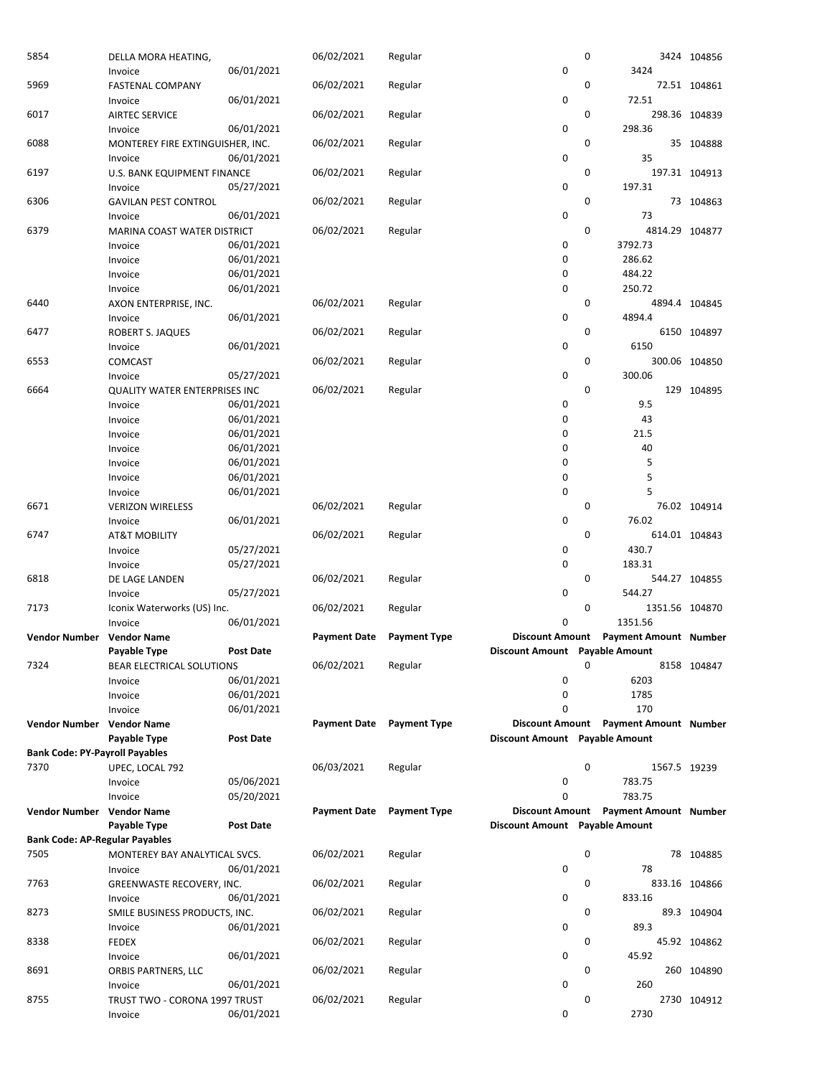| 5854                                  | DELLA MORA HEATING,                  |                  | 06/02/2021          | Regular             |                                | 0 |                                       | 3424 104856   |
|---------------------------------------|--------------------------------------|------------------|---------------------|---------------------|--------------------------------|---|---------------------------------------|---------------|
|                                       | Invoice                              | 06/01/2021       |                     |                     | $\mathbf 0$                    |   | 3424                                  |               |
| 5969                                  | <b>FASTENAL COMPANY</b>              |                  | 06/02/2021          | Regular             |                                | 0 |                                       | 72.51 104861  |
|                                       | Invoice                              | 06/01/2021       |                     |                     | 0                              |   | 72.51                                 |               |
| 6017                                  | <b>AIRTEC SERVICE</b>                |                  | 06/02/2021          | Regular             |                                | 0 |                                       | 298.36 104839 |
|                                       | Invoice                              | 06/01/2021       |                     |                     | $\mathbf 0$                    |   | 298.36                                |               |
| 6088                                  | MONTEREY FIRE EXTINGUISHER, INC.     |                  | 06/02/2021          | Regular             |                                | 0 |                                       | 35 104888     |
|                                       |                                      | 06/01/2021       |                     |                     | 0                              |   | 35                                    |               |
|                                       | Invoice                              |                  |                     |                     |                                |   |                                       |               |
| 6197                                  | U.S. BANK EQUIPMENT FINANCE          |                  | 06/02/2021          | Regular             |                                | 0 |                                       | 197.31 104913 |
|                                       | Invoice                              | 05/27/2021       |                     |                     | $\mathbf 0$                    |   | 197.31                                |               |
| 6306                                  | <b>GAVILAN PEST CONTROL</b>          |                  | 06/02/2021          | Regular             |                                | 0 |                                       | 73 104863     |
|                                       | Invoice                              | 06/01/2021       |                     |                     | 0                              |   | 73                                    |               |
| 6379                                  | MARINA COAST WATER DISTRICT          |                  | 06/02/2021          | Regular             |                                | 0 | 4814.29 104877                        |               |
|                                       | Invoice                              | 06/01/2021       |                     |                     | 0                              |   | 3792.73                               |               |
|                                       | Invoice                              | 06/01/2021       |                     |                     | 0                              |   | 286.62                                |               |
|                                       | Invoice                              | 06/01/2021       |                     |                     | $\mathbf 0$                    |   | 484.22                                |               |
|                                       | Invoice                              | 06/01/2021       |                     |                     | 0                              |   | 250.72                                |               |
| 6440                                  | AXON ENTERPRISE, INC.                |                  | 06/02/2021          | Regular             |                                | 0 |                                       | 4894.4 104845 |
|                                       | Invoice                              | 06/01/2021       |                     |                     | $\mathbf 0$                    |   | 4894.4                                |               |
| 6477                                  | ROBERT S. JAQUES                     |                  | 06/02/2021          |                     |                                | 0 |                                       | 6150 104897   |
|                                       |                                      |                  |                     | Regular             | 0                              |   | 6150                                  |               |
|                                       | Invoice                              | 06/01/2021       |                     |                     |                                |   |                                       |               |
| 6553                                  | <b>COMCAST</b>                       |                  | 06/02/2021          | Regular             |                                | 0 |                                       | 300.06 104850 |
|                                       | Invoice                              | 05/27/2021       |                     |                     | $\mathbf 0$                    |   | 300.06                                |               |
| 6664                                  | <b>QUALITY WATER ENTERPRISES INC</b> |                  | 06/02/2021          | Regular             |                                | 0 |                                       | 129 104895    |
|                                       | Invoice                              | 06/01/2021       |                     |                     | 0                              |   | 9.5                                   |               |
|                                       | Invoice                              | 06/01/2021       |                     |                     | 0                              |   | 43                                    |               |
|                                       | Invoice                              | 06/01/2021       |                     |                     | $\mathbf 0$                    |   | 21.5                                  |               |
|                                       | Invoice                              | 06/01/2021       |                     |                     | 0                              |   | 40                                    |               |
|                                       | Invoice                              | 06/01/2021       |                     |                     | 0                              |   | 5                                     |               |
|                                       | Invoice                              | 06/01/2021       |                     |                     | 0                              |   | 5                                     |               |
|                                       | Invoice                              | 06/01/2021       |                     |                     | $\mathbf 0$                    |   | 5                                     |               |
| 6671                                  |                                      |                  | 06/02/2021          |                     |                                | 0 |                                       |               |
|                                       | <b>VERIZON WIRELESS</b>              |                  |                     | Regular             |                                |   |                                       | 76.02 104914  |
|                                       | Invoice                              | 06/01/2021       |                     |                     | $\mathbf 0$                    |   | 76.02                                 |               |
| 6747                                  | <b>AT&amp;T MOBILITY</b>             |                  | 06/02/2021          | Regular             |                                | 0 |                                       | 614.01 104843 |
|                                       | Invoice                              | 05/27/2021       |                     |                     | 0                              |   | 430.7                                 |               |
|                                       | Invoice                              | 05/27/2021       |                     |                     | 0                              |   | 183.31                                |               |
| 6818                                  | DE LAGE LANDEN                       |                  | 06/02/2021          | Regular             |                                | 0 |                                       | 544.27 104855 |
|                                       | Invoice                              | 05/27/2021       |                     |                     | 0                              |   | 544.27                                |               |
| 7173                                  | Iconix Waterworks (US) Inc.          |                  | 06/02/2021          | Regular             |                                | 0 | 1351.56 104870                        |               |
|                                       | Invoice                              | 06/01/2021       |                     |                     | 0                              |   | 1351.56                               |               |
| <b>Vendor Number</b>                  | <b>Vendor Name</b>                   |                  | <b>Payment Date</b> | <b>Payment Type</b> |                                |   | Discount Amount Payment Amount Number |               |
|                                       | Payable Type                         | <b>Post Date</b> |                     |                     | Discount Amount Payable Amount |   |                                       |               |
|                                       |                                      |                  |                     |                     |                                |   |                                       |               |
| 7324                                  | BEAR ELECTRICAL SOLUTIONS            |                  | 06/02/2021          | Regular             |                                | 0 |                                       | 8158 104847   |
|                                       | Invoice                              | 06/01/2021       |                     |                     | 0                              |   | 6203                                  |               |
|                                       | Invoice                              | 06/01/2021       |                     |                     | 0                              |   | 1785                                  |               |
|                                       | Invoice                              | 06/01/2021       |                     |                     | $\Omega$                       |   | 170                                   |               |
| Vendor Number                         | <b>Vendor Name</b>                   |                  | <b>Payment Date</b> | <b>Payment Type</b> | <b>Discount Amount</b>         |   | <b>Payment Amount Number</b>          |               |
|                                       | Payable Type                         | Post Date        |                     |                     | Discount Amount Payable Amount |   |                                       |               |
| <b>Bank Code: PY-Payroll Payables</b> |                                      |                  |                     |                     |                                |   |                                       |               |
| 7370                                  | UPEC, LOCAL 792                      |                  | 06/03/2021          | Regular             |                                | 0 | 1567.5 19239                          |               |
|                                       | Invoice                              | 05/06/2021       |                     |                     | 0                              |   | 783.75                                |               |
|                                       | Invoice                              | 05/20/2021       |                     |                     | 0                              |   | 783.75                                |               |
| <b>Vendor Number</b>                  | <b>Vendor Name</b>                   |                  | <b>Payment Date</b> | <b>Payment Type</b> | <b>Discount Amount</b>         |   | <b>Payment Amount Number</b>          |               |
|                                       | Payable Type                         | Post Date        |                     |                     | Discount Amount Payable Amount |   |                                       |               |
|                                       |                                      |                  |                     |                     |                                |   |                                       |               |
| <b>Bank Code: AP-Regular Payables</b> |                                      |                  |                     |                     |                                |   |                                       |               |
| 7505                                  | MONTEREY BAY ANALYTICAL SVCS.        |                  | 06/02/2021          | Regular             |                                | 0 |                                       | 78 104885     |
|                                       | Invoice                              | 06/01/2021       |                     |                     | 0                              |   | 78                                    |               |
| 7763                                  | GREENWASTE RECOVERY, INC.            |                  | 06/02/2021          | Regular             |                                | 0 |                                       | 833.16 104866 |
|                                       | Invoice                              | 06/01/2021       |                     |                     | 0                              |   | 833.16                                |               |
| 8273                                  | SMILE BUSINESS PRODUCTS, INC.        |                  | 06/02/2021          | Regular             |                                | 0 |                                       | 89.3 104904   |
|                                       | Invoice                              | 06/01/2021       |                     |                     | 0                              |   | 89.3                                  |               |
| 8338                                  | <b>FEDEX</b>                         |                  | 06/02/2021          | Regular             |                                | 0 |                                       | 45.92 104862  |
|                                       | Invoice                              | 06/01/2021       |                     |                     | 0                              |   | 45.92                                 |               |
| 8691                                  | ORBIS PARTNERS, LLC                  |                  | 06/02/2021          | Regular             |                                | 0 |                                       | 260 104890    |
|                                       |                                      | 06/01/2021       |                     |                     | $\mathbf 0$                    |   | 260                                   |               |
|                                       | Invoice                              |                  |                     |                     |                                |   |                                       |               |
| 8755                                  | TRUST TWO - CORONA 1997 TRUST        |                  | 06/02/2021          | Regular             |                                | 0 |                                       | 2730 104912   |
|                                       | Invoice                              | 06/01/2021       |                     |                     | 0                              |   | 2730                                  |               |